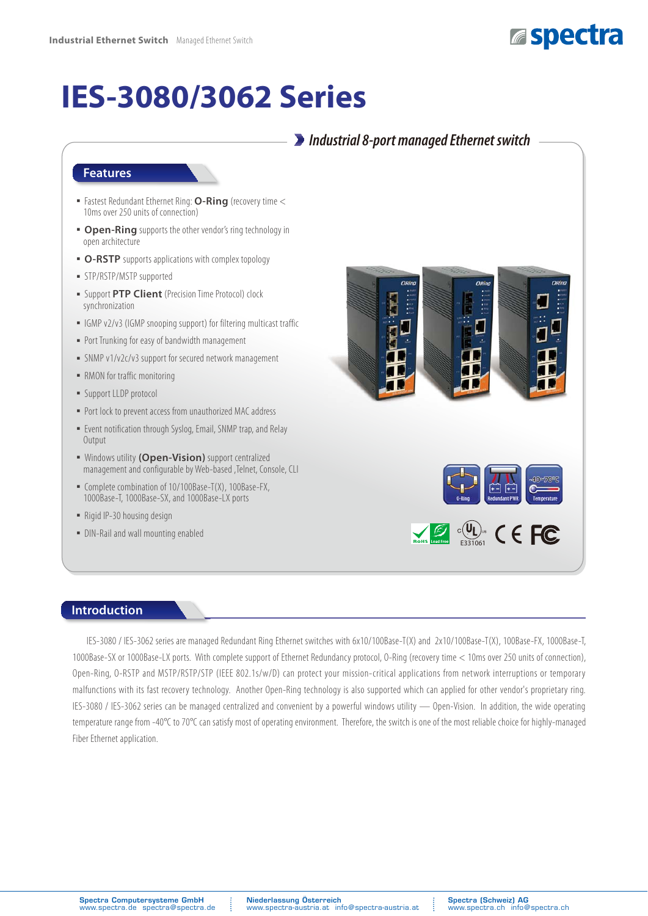

## **IES-3080/3062 Series**

## *Industrial 8-port managed Ethernet switch*

### **Features**

- **Fastest Redundant Ethernet Ring: O-Ring** (recovery time < 10ms over 250 units of connection)
- **Open-Ring** supports the other vendor's ring technology in open architecture
- O-RSTP supports applications with complex topology
- STP/RSTP/MSTP supported
- **Example 1 Support PTP Client** (Precision Time Protocol) clock synchronization
- ͑ؼ͑IGMP v2/v3 (IGMP snooping support) for filtering multicast traffic
- Port Trunking for easy of bandwidth management
- SNMP v1/v2c/v3 support for secured network management
- RMON for traffic monitoring
- Support LLDP protocol
- Port lock to prevent access from unauthorized MAC address
- Event notification through Syslog, Email, SNMP trap, and Relay **Output**
- ͑ؼ͑Windows utility **(Open-Vision)** support centralized management and configurable by Web-based ,Telnet, Console, CLI
- Complete combination of 10/100Base-T(X), 100Base-FX, 1000Base-T, 1000Base-SX, and 1000Base-LX ports
- Rigid IP-30 housing design
- DIN-Rail and wall mounting enabled



#### **Introduction**

IES-3080 / IES-3062 series are managed Redundant Ring Ethernet switches with 6x10/100Base-T(X) and 2x10/100Base-T(X), 100Base-FX, 1000Base-T, 1000Base-SX or 1000Base-LX ports. With complete support of Ethernet Redundancy protocol, O-Ring (recovery time < 10ms over 250 units of connection), Open-Ring, O-RSTP and MSTP/RSTP/STP (IEEE 802.1s/w/D) can protect your mission-critical applications from network interruptions or temporary malfunctions with its fast recovery technology. Another Open-Ring technology is also supported which can applied for other vendor's proprietary ring. IES-3080 / IES-3062 series can be managed centralized and convenient by a powerful windows utility — Open-Vision. In addition, the wide operating temperature range from -40°C to 70°C can satisfy most of operating environment. Therefore, the switch is one of the most reliable choice for highly-managed Fiber Ethernet application.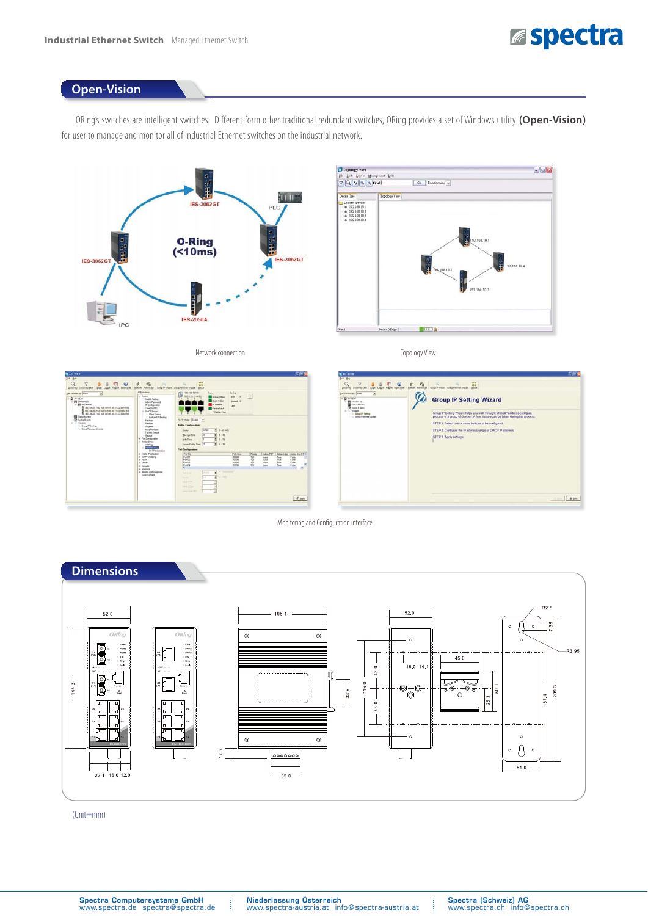

## **Open-Vision**

ORing's switches are intelligent switches. Different form other traditional redundant switches, ORing provides a set of Windows utility **(Open-Vision)** for user to manage and monitor all of industrial Ethernet switches on the industrial network.





Network connection

Topology View



Monitoring and Configuration interface



(Unit=mm)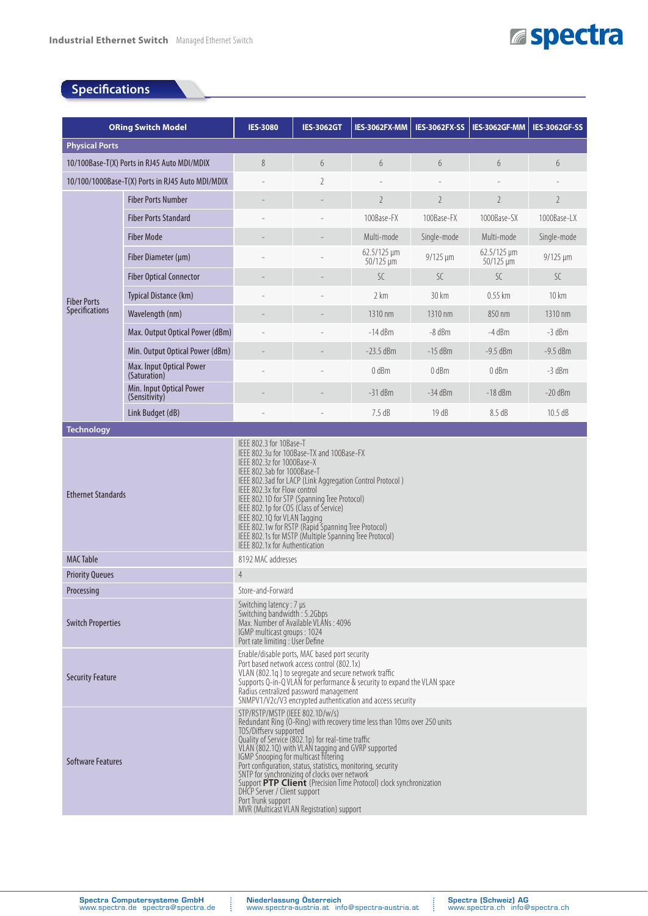## **Espectra**

## **Specifications**

| <b>ORing Switch Model</b>                        |                                           | <b>IES-3080</b>                                                                                                                                                                                                                                                                                                                                                                                                                                                                                                                                                                     | <b>IES-3062GT</b> | IES-3062FX-MM                        | <b>IES-3062FX-SS</b> | IES-3062GF-MM                                   | <b>IES-3062GF-SS</b> |  |
|--------------------------------------------------|-------------------------------------------|-------------------------------------------------------------------------------------------------------------------------------------------------------------------------------------------------------------------------------------------------------------------------------------------------------------------------------------------------------------------------------------------------------------------------------------------------------------------------------------------------------------------------------------------------------------------------------------|-------------------|--------------------------------------|----------------------|-------------------------------------------------|----------------------|--|
| <b>Physical Ports</b>                            |                                           |                                                                                                                                                                                                                                                                                                                                                                                                                                                                                                                                                                                     |                   |                                      |                      |                                                 |                      |  |
| 10/100Base-T(X) Ports in RJ45 Auto MDI/MDIX      |                                           | 8                                                                                                                                                                                                                                                                                                                                                                                                                                                                                                                                                                                   | 6                 | 6                                    | 6                    | 6                                               | 6                    |  |
| 10/100/1000Base-T(X) Ports in RJ45 Auto MDI/MDIX |                                           |                                                                                                                                                                                                                                                                                                                                                                                                                                                                                                                                                                                     | $\overline{2}$    |                                      |                      |                                                 |                      |  |
|                                                  | <b>Fiber Ports Number</b>                 |                                                                                                                                                                                                                                                                                                                                                                                                                                                                                                                                                                                     |                   | $\overline{2}$                       | $\overline{2}$       | $\overline{2}$                                  | $\overline{2}$       |  |
|                                                  | <b>Fiber Ports Standard</b>               |                                                                                                                                                                                                                                                                                                                                                                                                                                                                                                                                                                                     |                   | 100Base-FX                           | 100Base-FX           | 1000Base-SX                                     | 1000Base-LX          |  |
|                                                  | <b>Fiber Mode</b>                         |                                                                                                                                                                                                                                                                                                                                                                                                                                                                                                                                                                                     |                   | Multi-mode                           | Single-mode          | Multi-mode                                      | Single-mode          |  |
|                                                  | Fiber Diameter (µm)                       |                                                                                                                                                                                                                                                                                                                                                                                                                                                                                                                                                                                     |                   | $62.5/125 \,\mu m$<br>$50/125 \mu m$ | $9/125 \mu m$        | $62.5/125 \,\mathrm{\upmu m}$<br>$50/125 \mu m$ | $9/125 \mu m$        |  |
|                                                  | <b>Fiber Optical Connector</b>            |                                                                                                                                                                                                                                                                                                                                                                                                                                                                                                                                                                                     |                   | SC                                   | SC.                  | SC                                              | SC.                  |  |
| <b>Fiber Ports</b><br><b>Specifications</b>      | Typical Distance (km)                     |                                                                                                                                                                                                                                                                                                                                                                                                                                                                                                                                                                                     |                   | 2 km                                 | 30 km                | $0.55$ km                                       | 10 km                |  |
|                                                  | Wavelength (nm)                           |                                                                                                                                                                                                                                                                                                                                                                                                                                                                                                                                                                                     |                   | 1310 nm                              | 1310 nm              | 850 nm                                          | 1310 nm              |  |
|                                                  | Max. Output Optical Power (dBm)           |                                                                                                                                                                                                                                                                                                                                                                                                                                                                                                                                                                                     |                   | $-14$ dBm                            | $-8$ dBm             | $-4$ dBm                                        | $-3$ dBm             |  |
|                                                  | Min. Output Optical Power (dBm)           |                                                                                                                                                                                                                                                                                                                                                                                                                                                                                                                                                                                     |                   | $-23.5$ dBm                          | $-15$ dBm            | $-9.5$ dBm                                      | $-9.5$ dBm           |  |
|                                                  | Max. Input Optical Power<br>(Saturation)  |                                                                                                                                                                                                                                                                                                                                                                                                                                                                                                                                                                                     |                   | 0 dBm                                | 0 dBm                | $0$ dBm                                         | $-3$ dBm             |  |
|                                                  | Min. Input Optical Power<br>(Sensitivity) |                                                                                                                                                                                                                                                                                                                                                                                                                                                                                                                                                                                     |                   | $-31$ dBm                            | $-34$ dBm            | -18 dBm                                         | $-20$ dBm            |  |
|                                                  | Link Budget (dB)                          |                                                                                                                                                                                                                                                                                                                                                                                                                                                                                                                                                                                     | ÷,                | 7.5dB                                | 19dB                 | 8.5dB                                           | 10.5 dB              |  |
| <b>Technology</b>                                |                                           |                                                                                                                                                                                                                                                                                                                                                                                                                                                                                                                                                                                     |                   |                                      |                      |                                                 |                      |  |
| <b>Ethernet Standards</b>                        |                                           | IEEE 802.3u for 100Base-TX and 100Base-FX<br>IEEE 802.3z for 1000Base-X<br>IEEE 802.3ab for 1000Base-T<br>IEEE 802.3ad for LACP (Link Aggregation Control Protocol)<br>IEEE 802.3x for Flow control<br>IEEE 802.1D for STP (Spanning Tree Protocol)<br>IEEE 802.1p for COS (Class of Service)<br>IEEE 802.1Q for VLAN Tagging<br>IEEE 802.1w for RSTP (Rapid Spanning Tree Protocol)<br>IEEE 802.1s for MSTP (Multiple Spanning Tree Protocol)<br>IFFF 802.1x for Authentication                                                                                                    |                   |                                      |                      |                                                 |                      |  |
| <b>MAC Table</b>                                 |                                           | 8192 MAC addresses                                                                                                                                                                                                                                                                                                                                                                                                                                                                                                                                                                  |                   |                                      |                      |                                                 |                      |  |
| <b>Priority Queues</b>                           |                                           | $\overline{4}$                                                                                                                                                                                                                                                                                                                                                                                                                                                                                                                                                                      |                   |                                      |                      |                                                 |                      |  |
| Processing                                       |                                           | Store-and-Forward                                                                                                                                                                                                                                                                                                                                                                                                                                                                                                                                                                   |                   |                                      |                      |                                                 |                      |  |
| <b>Switch Properties</b>                         |                                           | Switching latency : 7 µs<br>Switching bandwidth: 5.2Gbps<br>Max. Number of Available VLANs: 4096<br>IGMP multicast groups: 1024<br>Port rate limiting : User Define                                                                                                                                                                                                                                                                                                                                                                                                                 |                   |                                      |                      |                                                 |                      |  |
| <b>Security Feature</b>                          |                                           | Enable/disable ports, MAC based port security<br>Port based network access control (802.1x)<br>VLAN (802.1q) to segregate and secure network traffic<br>Supports Q-in-Q VLAN for performance & security to expand the VLAN space<br>Radius centralized password management<br>SNMPV1/V2c/V3 encrypted authentication and access security                                                                                                                                                                                                                                            |                   |                                      |                      |                                                 |                      |  |
| <b>Software Features</b>                         |                                           | STP/RSTP/MSTP (IEEE 802.1D/w/s)<br>Redundant Ring (O-Ring) with recovery time less than 10ms over 250 units<br>TOS/Diffserv supported<br>Quality of Service (802.1p) for real-time traffic<br>VLAN (802.10) with VLAN tagging and GVRP supported<br>IGMP Snooping for multicast filtering<br>Port configuration, status, statistics, monitoring, security<br>SNTP for synchronizing of clocks over network<br>Support PTP Client (Precision Time Protocol) clock synchronization<br>DHCP Server / Client support<br>Port Trunk support<br>MVR (Multicast VLAN Registration) support |                   |                                      |                      |                                                 |                      |  |

Ĵ

j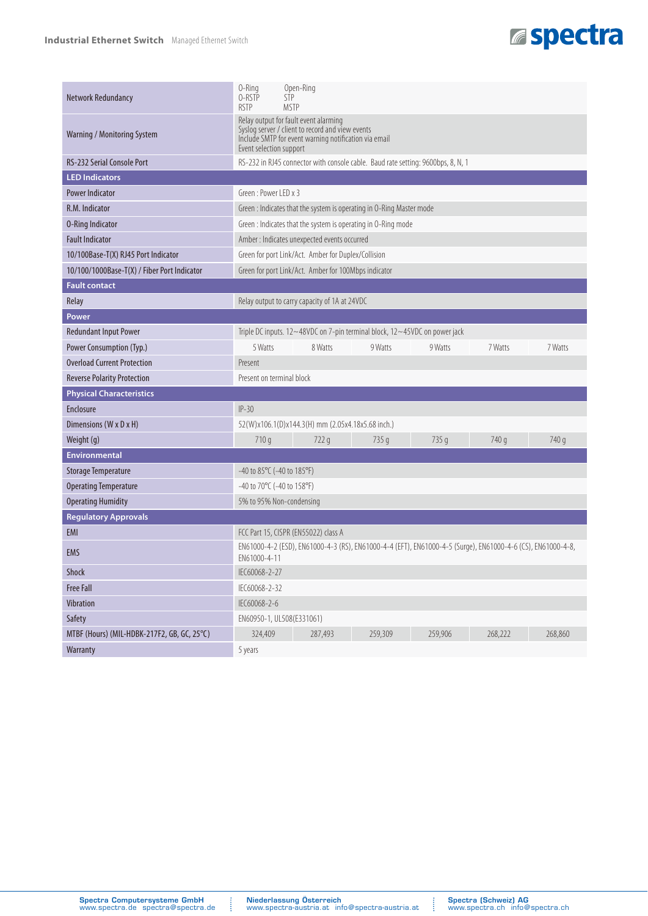## **Espectra**

| Network Redundancy                          | 0-Ring<br>Open-Ring<br>0-RSTP<br><b>STP</b><br><b>RSTP</b><br><b>MSTP</b>                                                                                                     |  |  |  |  |  |  |
|---------------------------------------------|-------------------------------------------------------------------------------------------------------------------------------------------------------------------------------|--|--|--|--|--|--|
| Warning / Monitoring System                 | Relay output for fault event alarming<br>Syslog server / client to record and view events<br>Include SMTP for event warning notification via email<br>Event selection support |  |  |  |  |  |  |
| RS-232 Serial Console Port                  | RS-232 in RJ45 connector with console cable. Baud rate setting: 9600bps, 8, N, 1                                                                                              |  |  |  |  |  |  |
| <b>LED Indicators</b>                       |                                                                                                                                                                               |  |  |  |  |  |  |
| <b>Power Indicator</b>                      | Green: Power I FD x 3                                                                                                                                                         |  |  |  |  |  |  |
| R.M. Indicator                              | Green : Indicates that the system is operating in O-Ring Master mode                                                                                                          |  |  |  |  |  |  |
| <b>0-Ring Indicator</b>                     | Green : Indicates that the system is operating in O-Ring mode                                                                                                                 |  |  |  |  |  |  |
| <b>Fault Indicator</b>                      | Amber : Indicates unexpected events occurred                                                                                                                                  |  |  |  |  |  |  |
| 10/100Base-T(X) RJ45 Port Indicator         | Green for port Link/Act. Amber for Duplex/Collision                                                                                                                           |  |  |  |  |  |  |
| 10/100/1000Base-T(X) / Fiber Port Indicator | Green for port Link/Act. Amber for 100Mbps indicator                                                                                                                          |  |  |  |  |  |  |
| <b>Fault contact</b>                        |                                                                                                                                                                               |  |  |  |  |  |  |
| Relay                                       | Relay output to carry capacity of 1A at 24VDC                                                                                                                                 |  |  |  |  |  |  |
| <b>Power</b>                                |                                                                                                                                                                               |  |  |  |  |  |  |
| <b>Redundant Input Power</b>                | Triple DC inputs. 12~48VDC on 7-pin terminal block, 12~45VDC on power jack                                                                                                    |  |  |  |  |  |  |
| Power Consumption (Typ.)                    | 5 Watts<br>8 Watts<br>9 Watts<br>9 Watts<br>7 Watts<br>7 Watts                                                                                                                |  |  |  |  |  |  |
| <b>Overload Current Protection</b>          | Present                                                                                                                                                                       |  |  |  |  |  |  |
| <b>Reverse Polarity Protection</b>          | Present on terminal block                                                                                                                                                     |  |  |  |  |  |  |
| <b>Physical Characteristics</b>             |                                                                                                                                                                               |  |  |  |  |  |  |
| <b>Enclosure</b>                            | $IP-30$                                                                                                                                                                       |  |  |  |  |  |  |
| Dimensions (W x D x H)                      | 52(W)x106.1(D)x144.3(H) mm (2.05x4.18x5.68 inch.)                                                                                                                             |  |  |  |  |  |  |
| Weight (g)                                  | 740 g<br>710q<br>735 g<br>735 g<br>740 g<br>722q                                                                                                                              |  |  |  |  |  |  |
| <b>Environmental</b>                        |                                                                                                                                                                               |  |  |  |  |  |  |
| <b>Storage Temperature</b>                  | $-40$ to 85°C ( $-40$ to 185°F)                                                                                                                                               |  |  |  |  |  |  |
| <b>Operating Temperature</b>                | -40 to 70°C (-40 to 158°F)                                                                                                                                                    |  |  |  |  |  |  |
| <b>Operating Humidity</b>                   | 5% to 95% Non-condensing                                                                                                                                                      |  |  |  |  |  |  |
| <b>Regulatory Approvals</b>                 |                                                                                                                                                                               |  |  |  |  |  |  |
| EMI                                         | FCC Part 15, CISPR (EN55022) class A                                                                                                                                          |  |  |  |  |  |  |
| EMS                                         | EN61000-4-2 (ESD), EN61000-4-3 (RS), EN61000-4-4 (EFT), EN61000-4-5 (Surge), EN61000-4-6 (CS), EN61000-4-8,<br>EN61000-4-11                                                   |  |  |  |  |  |  |
| Shock                                       | IEC60068-2-27                                                                                                                                                                 |  |  |  |  |  |  |
| <b>Free Fall</b>                            | IEC60068-2-32                                                                                                                                                                 |  |  |  |  |  |  |
| Vibration                                   | IEC60068-2-6                                                                                                                                                                  |  |  |  |  |  |  |
| Safety                                      | EN60950-1, UL508(E331061)                                                                                                                                                     |  |  |  |  |  |  |
| MTBF (Hours) (MIL-HDBK-217F2, GB, GC, 25°C) | 324,409<br>287,493<br>268,222<br>259,309<br>259,906<br>268,860                                                                                                                |  |  |  |  |  |  |
| Warranty                                    | 5 years                                                                                                                                                                       |  |  |  |  |  |  |

Ĵ